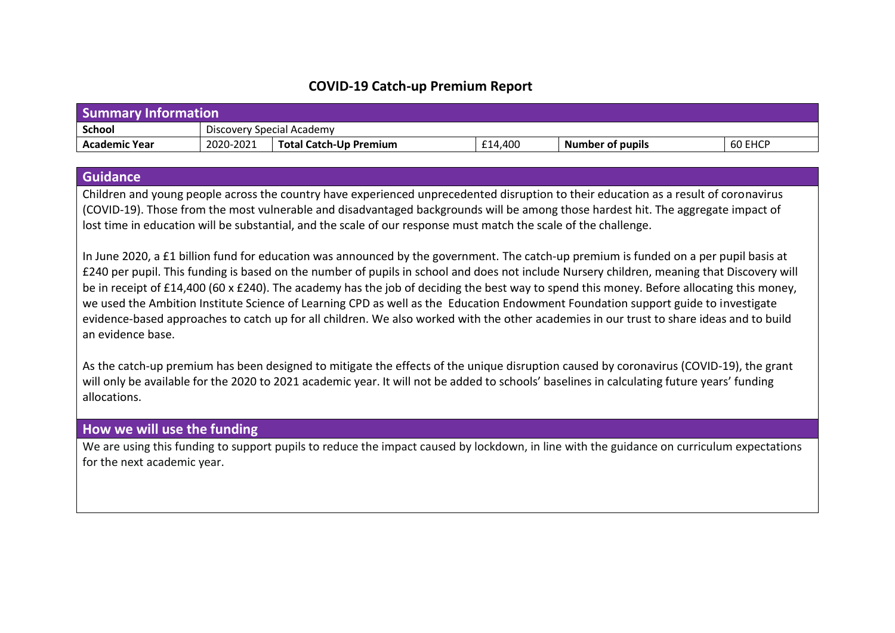## **COVID-19 Catch-up Premium Report**

| <b>Summary Information</b> |                           |                        |         |                  |         |
|----------------------------|---------------------------|------------------------|---------|------------------|---------|
| <b>School</b>              | Discovery Special Academy |                        |         |                  |         |
| <b>Academic Year</b>       | 2020-2021                 | Total Catch-Up Premium | £14,400 | Number of pupils | 60 EHCP |

## **Guidance**

Children and young people across the country have experienced unprecedented disruption to their education as a result of coronavirus (COVID-19). Those from the most vulnerable and disadvantaged backgrounds will be among those hardest hit. The aggregate impact of lost time in education will be substantial, and the scale of our response must match the scale of the challenge.

In June 2020, a £1 billion fund for education was announced by the government. The catch-up premium is funded on a per pupil basis at £240 per pupil. This funding is based on the number of pupils in school and does not include Nursery children, meaning that Discovery will be in receipt of £14,400 (60 x £240). The academy has the job of deciding the best way to spend this money. Before allocating this money, we used the Ambition Institute Science of Learning CPD as well as the Education Endowment Foundation support guide to investigate evidence-based approaches to catch up for all children. We also worked with the other academies in our trust to share ideas and to build an evidence base.

As the catch-up premium has been designed to mitigate the effects of the unique disruption caused by coronavirus (COVID-19), the grant will only be available for the 2020 to 2021 academic year. It will not be added to schools' baselines in calculating future years' funding allocations.

## **How we will use the funding**

We are using this funding to support pupils to reduce the impact caused by lockdown, in line with the guidance on curriculum expectations for the next academic year.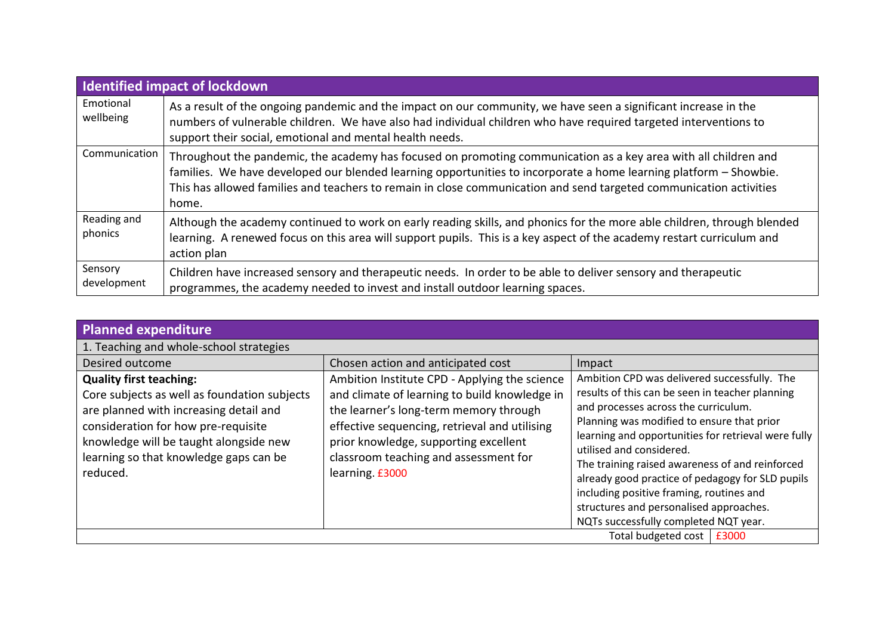|                        | <b>Identified impact of lockdown</b>                                                                                                                                                                                                                                                                                                                                |
|------------------------|---------------------------------------------------------------------------------------------------------------------------------------------------------------------------------------------------------------------------------------------------------------------------------------------------------------------------------------------------------------------|
| Emotional<br>wellbeing | As a result of the ongoing pandemic and the impact on our community, we have seen a significant increase in the<br>numbers of vulnerable children. We have also had individual children who have required targeted interventions to<br>support their social, emotional and mental health needs.                                                                     |
| Communication          | Throughout the pandemic, the academy has focused on promoting communication as a key area with all children and<br>families. We have developed our blended learning opportunities to incorporate a home learning platform - Showbie.<br>This has allowed families and teachers to remain in close communication and send targeted communication activities<br>home. |
| Reading and<br>phonics | Although the academy continued to work on early reading skills, and phonics for the more able children, through blended<br>learning. A renewed focus on this area will support pupils. This is a key aspect of the academy restart curriculum and<br>action plan                                                                                                    |
| Sensory<br>development | Children have increased sensory and therapeutic needs. In order to be able to deliver sensory and therapeutic<br>programmes, the academy needed to invest and install outdoor learning spaces.                                                                                                                                                                      |

| Planned expenditure                                                                                                                                                                                                                                             |                                                                                                                                                                                                                                                                                                |                                                                                                                                                                                                                                                                                                                                                                                                                                                                                                                 |  |
|-----------------------------------------------------------------------------------------------------------------------------------------------------------------------------------------------------------------------------------------------------------------|------------------------------------------------------------------------------------------------------------------------------------------------------------------------------------------------------------------------------------------------------------------------------------------------|-----------------------------------------------------------------------------------------------------------------------------------------------------------------------------------------------------------------------------------------------------------------------------------------------------------------------------------------------------------------------------------------------------------------------------------------------------------------------------------------------------------------|--|
| 1. Teaching and whole-school strategies                                                                                                                                                                                                                         |                                                                                                                                                                                                                                                                                                |                                                                                                                                                                                                                                                                                                                                                                                                                                                                                                                 |  |
| Desired outcome                                                                                                                                                                                                                                                 | Chosen action and anticipated cost                                                                                                                                                                                                                                                             | Impact                                                                                                                                                                                                                                                                                                                                                                                                                                                                                                          |  |
| <b>Quality first teaching:</b><br>Core subjects as well as foundation subjects<br>are planned with increasing detail and<br>consideration for how pre-requisite<br>knowledge will be taught alongside new<br>learning so that knowledge gaps can be<br>reduced. | Ambition Institute CPD - Applying the science<br>and climate of learning to build knowledge in<br>the learner's long-term memory through<br>effective sequencing, retrieval and utilising<br>prior knowledge, supporting excellent<br>classroom teaching and assessment for<br>learning. £3000 | Ambition CPD was delivered successfully. The<br>results of this can be seen in teacher planning<br>and processes across the curriculum.<br>Planning was modified to ensure that prior<br>learning and opportunities for retrieval were fully<br>utilised and considered.<br>The training raised awareness of and reinforced<br>already good practice of pedagogy for SLD pupils<br>including positive framing, routines and<br>structures and personalised approaches.<br>NQTs successfully completed NQT year. |  |
|                                                                                                                                                                                                                                                                 |                                                                                                                                                                                                                                                                                                | Total budgeted cost<br>£3000                                                                                                                                                                                                                                                                                                                                                                                                                                                                                    |  |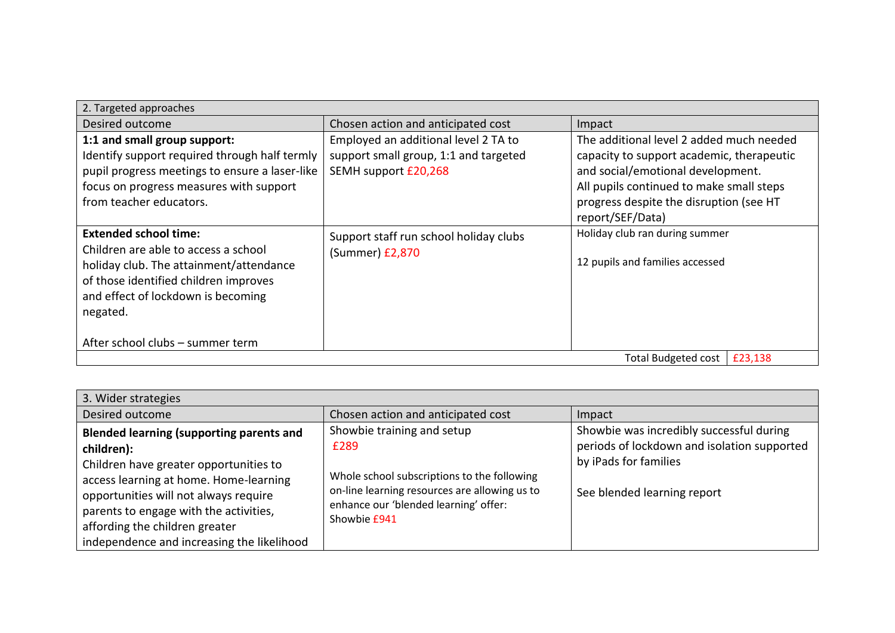| 2. Targeted approaches                                                                                                                                                                                                                         |                                                                                                       |                                                                                                                                                                                                                                       |  |
|------------------------------------------------------------------------------------------------------------------------------------------------------------------------------------------------------------------------------------------------|-------------------------------------------------------------------------------------------------------|---------------------------------------------------------------------------------------------------------------------------------------------------------------------------------------------------------------------------------------|--|
| Desired outcome                                                                                                                                                                                                                                | Chosen action and anticipated cost                                                                    | Impact                                                                                                                                                                                                                                |  |
| 1:1 and small group support:<br>Identify support required through half termly<br>pupil progress meetings to ensure a laser-like<br>focus on progress measures with support<br>from teacher educators.                                          | Employed an additional level 2 TA to<br>support small group, 1:1 and targeted<br>SEMH support £20,268 | The additional level 2 added much needed<br>capacity to support academic, therapeutic<br>and social/emotional development.<br>All pupils continued to make small steps<br>progress despite the disruption (see HT<br>report/SEF/Data) |  |
| <b>Extended school time:</b><br>Children are able to access a school<br>holiday club. The attainment/attendance<br>of those identified children improves<br>and effect of lockdown is becoming<br>negated.<br>After school clubs - summer term | Support staff run school holiday clubs<br>(Summer) £2,870                                             | Holiday club ran during summer<br>12 pupils and families accessed                                                                                                                                                                     |  |
| <b>Total Budgeted cost</b><br>£23,138                                                                                                                                                                                                          |                                                                                                       |                                                                                                                                                                                                                                       |  |

| 3. Wider strategies                                                                                                                                                                                                                                                                                                  |                                                                                                                                                                                             |                                                                                                                                                 |  |
|----------------------------------------------------------------------------------------------------------------------------------------------------------------------------------------------------------------------------------------------------------------------------------------------------------------------|---------------------------------------------------------------------------------------------------------------------------------------------------------------------------------------------|-------------------------------------------------------------------------------------------------------------------------------------------------|--|
| Desired outcome                                                                                                                                                                                                                                                                                                      | Chosen action and anticipated cost                                                                                                                                                          | Impact                                                                                                                                          |  |
| <b>Blended learning (supporting parents and</b><br>children):<br>Children have greater opportunities to<br>access learning at home. Home-learning<br>opportunities will not always require<br>parents to engage with the activities,<br>affording the children greater<br>independence and increasing the likelihood | Showbie training and setup<br>£289<br>Whole school subscriptions to the following<br>on-line learning resources are allowing us to<br>enhance our 'blended learning' offer:<br>Showbie £941 | Showbie was incredibly successful during<br>periods of lockdown and isolation supported<br>by iPads for families<br>See blended learning report |  |